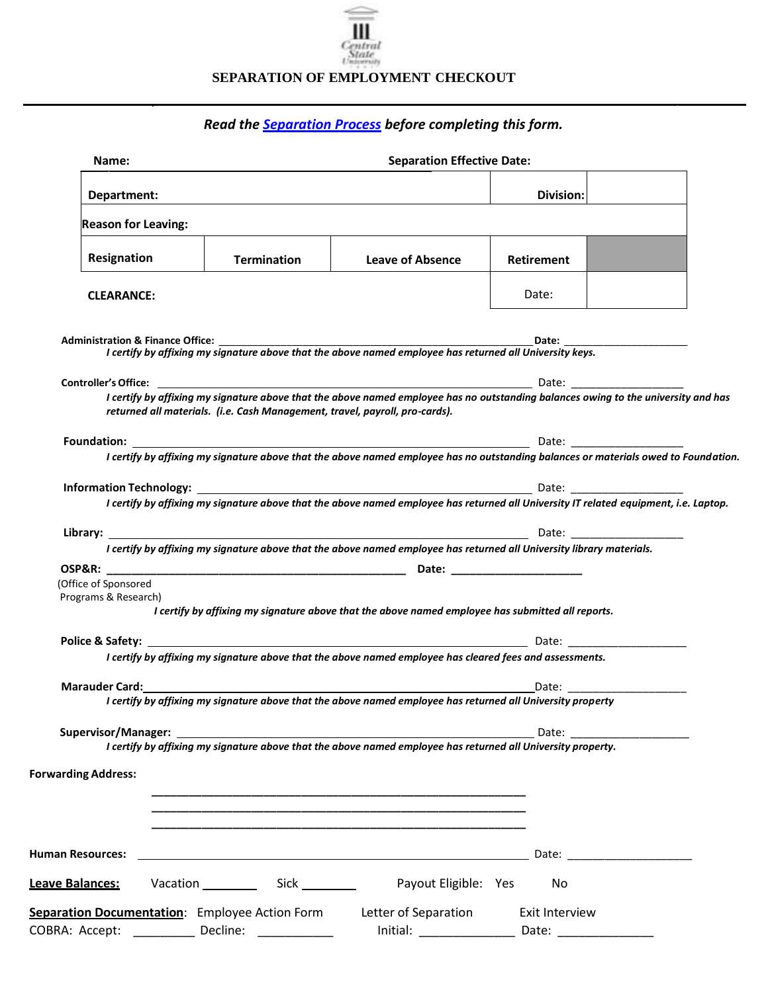

## **SEPARATION OF EMPLOYMENT CHECKOUT**

## *Read th[e Separation Process](http://www.centralstate.edu/faculty/hr/details.php?HR-Processes-6) before completing this form.*

| Name:                                                                                                         | <b>Separation Effective Date:</b>                                           |                                                                                                                                                                                                                                                                                                                                                                            |                                         |                                                                                                                                                                                                                                |  |  |  |  |  |  |
|---------------------------------------------------------------------------------------------------------------|-----------------------------------------------------------------------------|----------------------------------------------------------------------------------------------------------------------------------------------------------------------------------------------------------------------------------------------------------------------------------------------------------------------------------------------------------------------------|-----------------------------------------|--------------------------------------------------------------------------------------------------------------------------------------------------------------------------------------------------------------------------------|--|--|--|--|--|--|
| Department:                                                                                                   |                                                                             | Division:                                                                                                                                                                                                                                                                                                                                                                  |                                         |                                                                                                                                                                                                                                |  |  |  |  |  |  |
| <b>Reason for Leaving:</b>                                                                                    |                                                                             |                                                                                                                                                                                                                                                                                                                                                                            |                                         |                                                                                                                                                                                                                                |  |  |  |  |  |  |
| Resignation                                                                                                   | <b>Termination</b>                                                          | <b>Leave of Absence</b>                                                                                                                                                                                                                                                                                                                                                    | <b>Retirement</b>                       |                                                                                                                                                                                                                                |  |  |  |  |  |  |
| <b>CLEARANCE:</b>                                                                                             |                                                                             |                                                                                                                                                                                                                                                                                                                                                                            | Date:                                   |                                                                                                                                                                                                                                |  |  |  |  |  |  |
| <b>Administration &amp; Finance Office:</b>                                                                   |                                                                             | ation & miance Office.<br>I certify by affixing my signature above that the above named employee has returned all University keys.                                                                                                                                                                                                                                         |                                         |                                                                                                                                                                                                                                |  |  |  |  |  |  |
| <b>Controller's Office: Controller's Office:</b>                                                              |                                                                             |                                                                                                                                                                                                                                                                                                                                                                            | <b>Date:</b> The Date:                  |                                                                                                                                                                                                                                |  |  |  |  |  |  |
|                                                                                                               |                                                                             | I certify by affixing my signature above that the above named employee has no outstanding balances owing to the university and has                                                                                                                                                                                                                                         |                                         |                                                                                                                                                                                                                                |  |  |  |  |  |  |
|                                                                                                               | returned all materials. (i.e. Cash Management, travel, payroll, pro-cards). |                                                                                                                                                                                                                                                                                                                                                                            |                                         |                                                                                                                                                                                                                                |  |  |  |  |  |  |
|                                                                                                               |                                                                             | <b>Foundation:</b> Date: Date: Date: Date: Date: Date: Date: Date: Date: Date: Date: Date: Date: Date: Date: Date: Date: Date: Date: Date: Date: Date: Date: Date: Date: Date: Date: Date: Date: Date: Date: Date: Date: Date: Date<br>I certify by affixing my signature above that the above named employee has no outstanding balances or materials owed to Foundation. |                                         |                                                                                                                                                                                                                                |  |  |  |  |  |  |
|                                                                                                               |                                                                             |                                                                                                                                                                                                                                                                                                                                                                            |                                         |                                                                                                                                                                                                                                |  |  |  |  |  |  |
|                                                                                                               |                                                                             | I certify by affixing my signature above that the above named employee has returned all University IT related equipment, i.e. Laptop.                                                                                                                                                                                                                                      |                                         |                                                                                                                                                                                                                                |  |  |  |  |  |  |
| Library: <u>________________</u>                                                                              |                                                                             | I certify by affixing my signature above that the above named employee has returned all University library materials.                                                                                                                                                                                                                                                      |                                         |                                                                                                                                                                                                                                |  |  |  |  |  |  |
|                                                                                                               |                                                                             |                                                                                                                                                                                                                                                                                                                                                                            |                                         |                                                                                                                                                                                                                                |  |  |  |  |  |  |
| (Office of Sponsored<br>Programs & Research)                                                                  |                                                                             |                                                                                                                                                                                                                                                                                                                                                                            |                                         |                                                                                                                                                                                                                                |  |  |  |  |  |  |
|                                                                                                               |                                                                             | I certify by affixing my signature above that the above named employee has submitted all reports.                                                                                                                                                                                                                                                                          |                                         |                                                                                                                                                                                                                                |  |  |  |  |  |  |
|                                                                                                               |                                                                             |                                                                                                                                                                                                                                                                                                                                                                            |                                         |                                                                                                                                                                                                                                |  |  |  |  |  |  |
|                                                                                                               |                                                                             | I certify by affixing my signature above that the above named employee has cleared fees and assessments.                                                                                                                                                                                                                                                                   |                                         |                                                                                                                                                                                                                                |  |  |  |  |  |  |
| Marauder Card: ________                                                                                       |                                                                             |                                                                                                                                                                                                                                                                                                                                                                            |                                         | Date: the contract of the contract of the contract of the contract of the contract of the contract of the contract of the contract of the contract of the contract of the contract of the contract of the contract of the cont |  |  |  |  |  |  |
|                                                                                                               |                                                                             |                                                                                                                                                                                                                                                                                                                                                                            |                                         |                                                                                                                                                                                                                                |  |  |  |  |  |  |
| Supervisor/Manager: 2008 2009 2010 2020 2021 2022 2023 2024 2022 2023 2024 2022 2023 2024 2022 2023 2024 2022 |                                                                             |                                                                                                                                                                                                                                                                                                                                                                            |                                         | Date: <u>____________</u>                                                                                                                                                                                                      |  |  |  |  |  |  |
|                                                                                                               |                                                                             | I certify by affixing my signature above that the above named employee has returned all University property.                                                                                                                                                                                                                                                               |                                         |                                                                                                                                                                                                                                |  |  |  |  |  |  |
| <b>Forwarding Address:</b>                                                                                    |                                                                             |                                                                                                                                                                                                                                                                                                                                                                            |                                         |                                                                                                                                                                                                                                |  |  |  |  |  |  |
|                                                                                                               |                                                                             |                                                                                                                                                                                                                                                                                                                                                                            |                                         |                                                                                                                                                                                                                                |  |  |  |  |  |  |
|                                                                                                               |                                                                             |                                                                                                                                                                                                                                                                                                                                                                            |                                         |                                                                                                                                                                                                                                |  |  |  |  |  |  |
| <b>Human Resources:</b>                                                                                       |                                                                             | <u> 1989 - Johann Stoff, deutscher Stoff, der Stoff, der Stoff, der Stoff, der Stoff, der Stoff, der Stoff, der S</u>                                                                                                                                                                                                                                                      |                                         |                                                                                                                                                                                                                                |  |  |  |  |  |  |
| Leave Balances:                                                                                               | Vacation Sick Sick                                                          | Payout Eligible: Yes                                                                                                                                                                                                                                                                                                                                                       | No                                      |                                                                                                                                                                                                                                |  |  |  |  |  |  |
| Separation Documentation: Employee Action Form<br>COBRA: Accept: _________                                    | Decline: ____________                                                       | Letter of Separation                                                                                                                                                                                                                                                                                                                                                       | Exit Interview<br>Date: _______________ |                                                                                                                                                                                                                                |  |  |  |  |  |  |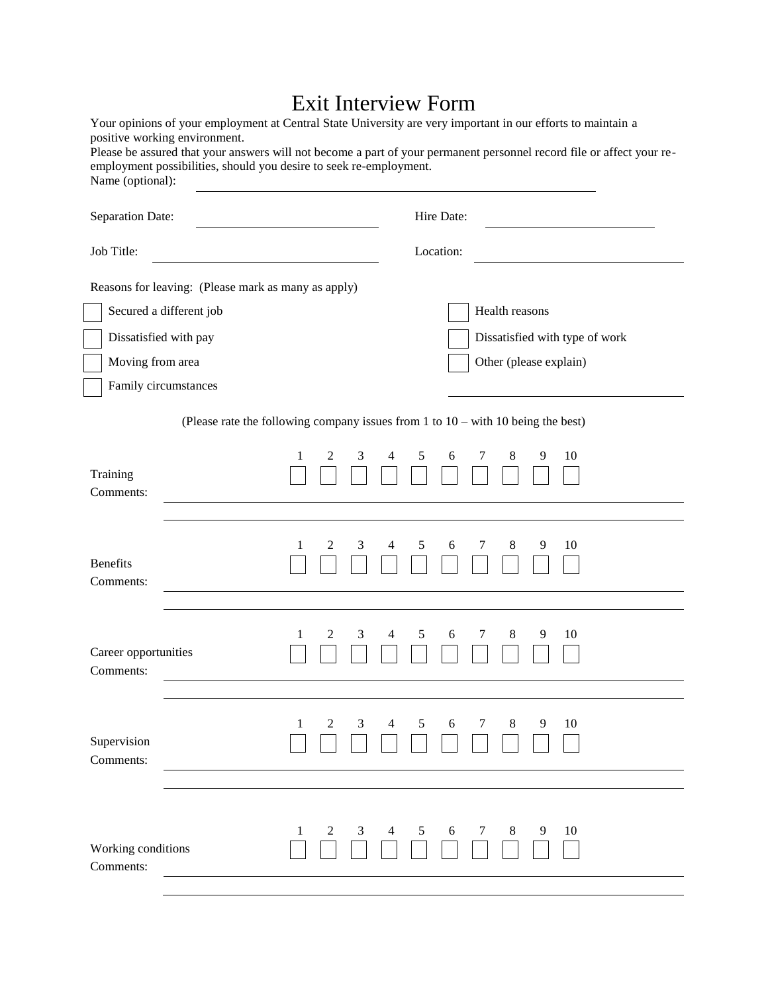## Exit Interview Form

| Name (optional):                                                  | Your opinions of your employment at Central State University are very important in our efforts to maintain a<br>positive working environment.<br>employment possibilities, should you desire to seek re-employment. |             |             | Please be assured that your answers will not become a part of your permanent personnel record file or affect your re- |  |  |  |  |
|-------------------------------------------------------------------|---------------------------------------------------------------------------------------------------------------------------------------------------------------------------------------------------------------------|-------------|-------------|-----------------------------------------------------------------------------------------------------------------------|--|--|--|--|
| Separation Date:                                                  |                                                                                                                                                                                                                     |             | Hire Date:  |                                                                                                                       |  |  |  |  |
| Job Title:                                                        |                                                                                                                                                                                                                     |             | Location:   |                                                                                                                       |  |  |  |  |
| Dissatisfied with pay<br>Moving from area<br>Family circumstances | Reasons for leaving: (Please mark as many as apply)<br>Secured a different job                                                                                                                                      |             |             | Health reasons<br>Dissatisfied with type of work<br>Other (please explain)                                            |  |  |  |  |
|                                                                   | (Please rate the following company issues from $1$ to $10 -$ with $10$ being the best)                                                                                                                              |             |             |                                                                                                                       |  |  |  |  |
| Training<br>Comments:                                             | 1                                                                                                                                                                                                                   | 2<br>3<br>4 | 5<br>6<br>7 | 10<br>8<br>9                                                                                                          |  |  |  |  |
| <b>Benefits</b><br>Comments:                                      | 1                                                                                                                                                                                                                   | 2<br>3<br>4 | 5<br>6<br>7 | 8<br>9<br>10                                                                                                          |  |  |  |  |
| Career opportunities<br>Comments:                                 | 1                                                                                                                                                                                                                   | 3<br>2<br>4 | 5<br>7<br>6 | 8<br>9<br>10                                                                                                          |  |  |  |  |
| Supervision<br>Comments:                                          | 1                                                                                                                                                                                                                   | 2<br>3<br>4 | 5<br>6<br>7 | 8<br>9<br>10                                                                                                          |  |  |  |  |
| Working conditions<br>Comments:                                   | 1                                                                                                                                                                                                                   | 2<br>3<br>4 | 5<br>6<br>7 | 8<br>9<br>10                                                                                                          |  |  |  |  |